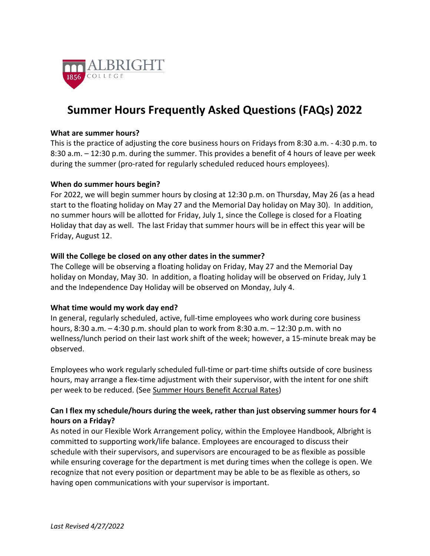

# **Summer Hours Frequently Asked Questions (FAQs) 2022**

#### **What are summer hours?**

This is the practice of adjusting the core business hours on Fridays from 8:30 a.m. - 4:30 p.m. to 8:30 a.m. – 12:30 p.m. during the summer. This provides a benefit of 4 hours of leave per week during the summer (pro-rated for regularly scheduled reduced hours employees).

#### **When do summer hours begin?**

For 2022, we will begin summer hours by closing at 12:30 p.m. on Thursday, May 26 (as a head start to the floating holiday on May 27 and the Memorial Day holiday on May 30). In addition, no summer hours will be allotted for Friday, July 1, since the College is closed for a Floating Holiday that day as well. The last Friday that summer hours will be in effect this year will be Friday, August 12.

#### **Will the College be closed on any other dates in the summer?**

The College will be observing a floating holiday on Friday, May 27 and the Memorial Day holiday on Monday, May 30. In addition, a floating holiday will be observed on Friday, July 1 and the Independence Day Holiday will be observed on Monday, July 4.

#### **What time would my work day end?**

In general, regularly scheduled, active, full-time employees who work during core business hours, 8:30 a.m. – 4:30 p.m. should plan to work from 8:30 a.m. – 12:30 p.m. with no wellness/lunch period on their last work shift of the week; however, a 15-minute break may be observed.

Employees who work regularly scheduled full-time or part-time shifts outside of core business hours, may arrange a flex-time adjustment with their supervisor, with the intent for one shift per week to be reduced. (See [Summer Hours Benefit Accrual Rates\)](#page-2-0)

# **Can I flex my schedule/hours during the week, rather than just observing summer hours for 4 hours on a Friday?**

As noted in our Flexible Work Arrangement policy, within the Employee Handbook, Albright is committed to supporting work/life balance. Employees are encouraged to discuss their schedule with their supervisors, and supervisors are encouraged to be as flexible as possible while ensuring coverage for the department is met during times when the college is open. We recognize that not every position or department may be able to be as flexible as others, so having open communications with your supervisor is important.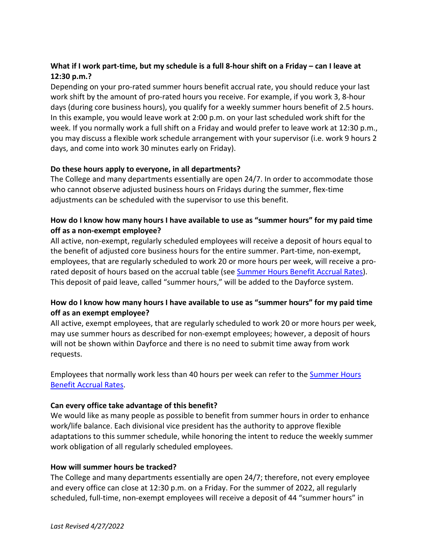# **What if I work part-time, but my schedule is a full 8-hour shift on a Friday – can I leave at 12:30 p.m.?**

Depending on your pro-rated summer hours benefit accrual rate, you should reduce your last work shift by the amount of pro-rated hours you receive. For example, if you work 3, 8-hour days (during core business hours), you qualify for a weekly summer hours benefit of 2.5 hours. In this example, you would leave work at 2:00 p.m. on your last scheduled work shift for the week. If you normally work a full shift on a Friday and would prefer to leave work at 12:30 p.m., you may discuss a flexible work schedule arrangement with your supervisor (i.e. work 9 hours 2 days, and come into work 30 minutes early on Friday).

# **Do these hours apply to everyone, in all departments?**

The College and many departments essentially are open 24/7. In order to accommodate those who cannot observe adjusted business hours on Fridays during the summer, flex-time adjustments can be scheduled with the supervisor to use this benefit.

# **How do I know how many hours I have available to use as "summer hours" for my paid time off as a non-exempt employee?**

All active, non-exempt, regularly scheduled employees will receive a deposit of hours equal to the benefit of adjusted core business hours for the entire summer. Part-time, non-exempt, employees, that are regularly scheduled to work 20 or more hours per week, will receive a prorated deposit of hours based on the accrual table (see [Summer Hours Benefit Accrual Rates\)](#page-2-0). This deposit of paid leave, called "summer hours," will be added to the Dayforce system.

# **How do I know how many hours I have available to use as "summer hours" for my paid time off as an exempt employee?**

All active, exempt employees, that are regularly scheduled to work 20 or more hours per week, may use summer hours as described for non-exempt employees; however, a deposit of hours will not be shown within Dayforce and there is no need to submit time away from work requests.

Employees that normally work less than 40 hours per week can refer to the [Summer Hours](#page-2-0)  [Benefit Accrual Rates.](#page-2-0)

# **Can every office take advantage of this benefit?**

We would like as many people as possible to benefit from summer hours in order to enhance work/life balance. Each divisional vice president has the authority to approve flexible adaptations to this summer schedule, while honoring the intent to reduce the weekly summer work obligation of all regularly scheduled employees.

#### **How will summer hours be tracked?**

The College and many departments essentially are open 24/7; therefore, not every employee and every office can close at 12:30 p.m. on a Friday. For the summer of 2022, all regularly scheduled, full-time, non-exempt employees will receive a deposit of 44 "summer hours" in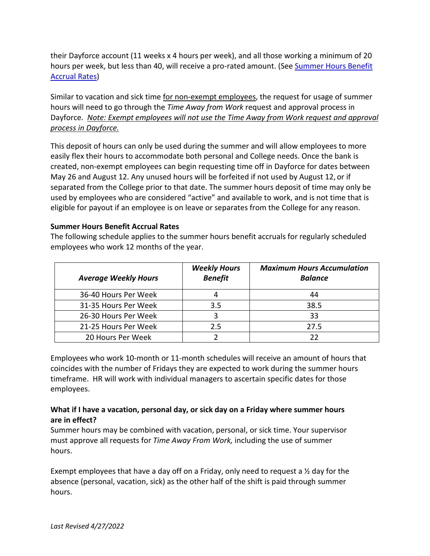their Dayforce account (11 weeks x 4 hours per week), and all those working a minimum of 20 hours per week, but less than 40, will receive a pro-rated amount. (See Summer Hours Benefit [Accrual Rates\)](#page-2-0)

Similar to vacation and sick time for non-exempt employees, the request for usage of summer hours will need to go through the *Time Away from Work* request and approval process in Dayforce. *Note: Exempt employees will not use the Time Away from Work request and approval process in Dayforce.*

This deposit of hours can only be used during the summer and will allow employees to more easily flex their hours to accommodate both personal and College needs. Once the bank is created, non-exempt employees can begin requesting time off in Dayforce for dates between May 26 and August 12. Any unused hours will be forfeited if not used by August 12, or if separated from the College prior to that date. The summer hours deposit of time may only be used by employees who are considered "active" and available to work, and is not time that is eligible for payout if an employee is on leave or separates from the College for any reason.

#### <span id="page-2-0"></span>**Summer Hours Benefit Accrual Rates**

The following schedule applies to the summer hours benefit accruals for regularly scheduled employees who work 12 months of the year.

| <b>Average Weekly Hours</b> | <b>Weekly Hours</b><br><b>Benefit</b> | <b>Maximum Hours Accumulation</b><br><b>Balance</b> |
|-----------------------------|---------------------------------------|-----------------------------------------------------|
| 36-40 Hours Per Week        |                                       | 44                                                  |
| 31-35 Hours Per Week        | 3.5                                   | 38.5                                                |
| 26-30 Hours Per Week        |                                       | 33                                                  |
| 21-25 Hours Per Week        | 2.5                                   | 27.5                                                |
| 20 Hours Per Week           |                                       |                                                     |

Employees who work 10-month or 11-month schedules will receive an amount of hours that coincides with the number of Fridays they are expected to work during the summer hours timeframe. HR will work with individual managers to ascertain specific dates for those employees.

# **What if I have a vacation, personal day, or sick day on a Friday where summer hours are in effect?**

Summer hours may be combined with vacation, personal, or sick time. Your supervisor must approve all requests for *Time Away From Work,* including the use of summer hours.

Exempt employees that have a day off on a Friday, only need to request a  $\frac{1}{2}$  day for the absence (personal, vacation, sick) as the other half of the shift is paid through summer hours.